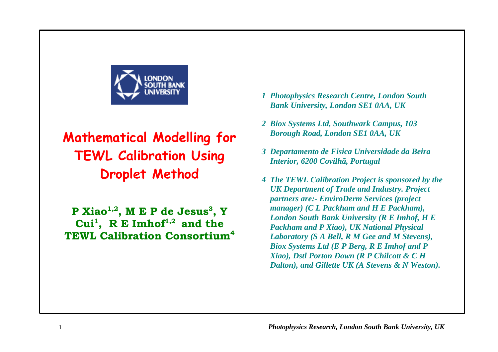

# **Mathematical Modelling for TEWL Calibration Using Droplet Method**

**P Xiao1,2, M E P de Jesus<sup>3</sup> , Y Cui<sup>1</sup> , R E Imhof1,2 and the TEWL Calibration Consortium<sup>4</sup>**

- *1 Photophysics Research Centre, London South Bank University, London SE1 0AA, UK*
- *2 Biox Systems Ltd, Southwark Campus, 103 Borough Road, London SE1 0AA, UK*
- *3 Departamento de Fisica Universidade da Beira Interior, 6200 Covilhã, Portugal*
- *4 The TEWL Calibration Project is sponsored by the UK Department of Trade and Industry. Project partners are:- EnviroDerm Services (project manager) (C L Packham and H E Packham), London South Bank University (R E Imhof, H E Packham and P Xiao), UK National Physical Laboratory (S A Bell, R M Gee and M Stevens), Biox Systems Ltd (E P Berg, R E Imhof and P Xiao), Dstl Porton Down (R P Chilcott & C H Dalton), and Gillette UK (A Stevens & N Weston).*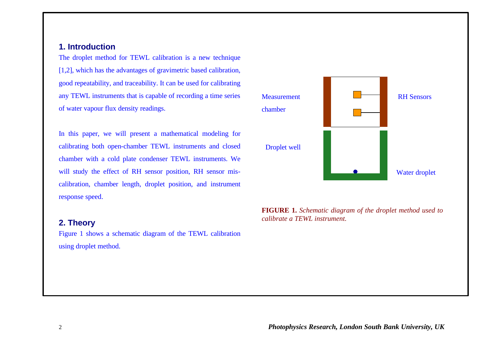# **1. Introduction**

The droplet method for TEWL calibration is a new technique [1,2], which has the advantages of gravimetric based calibration, good repeatability, and traceability. It can be used for calibrating any TEWL instruments that is capable of recording a time series of water vapour flux density readings.

In this paper, we will present a mathematical modeling for calibrating both open-chamber TEWL instruments and closed chamber with a cold plate condenser TEWL instruments. We will study the effect of RH sensor position, RH sensor miscalibration, chamber length, droplet position, and instrument response speed.

## **2. Theory**

Figure 1 shows a schematic diagram of the TEWL calibration using droplet method.



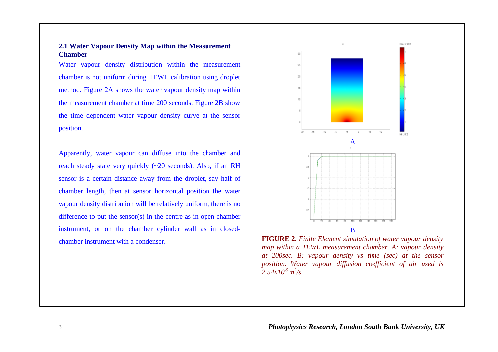#### **2.1 Water Vapour Density Map within the Measurement Chamber**

Water vapour density distribution within the measurement chamber is not uniform during TEWL calibration using droplet method. Figure 2A shows the water vapour density map within the measurement chamber at time 200 seconds. Figure 2B show the time dependent water vapour density curve at the sensor position.

Apparently, water vapour can diffuse into the chamber and reach steady state very quickly (~20 seconds). Also, if an RH sensor is a certain distance away from the droplet, say half of chamber length, then at sensor horizontal position the water vapour density distribution will be relatively uniform, there is no difference to put the sensor(s) in the centre as in open-chamber instrument, or on the chamber cylinder wall as in closedchamber instrument with a condenser.



**FIGURE 2.** *Finite Element simulation of water vapour density map within a TEWL measurement chamber. A: vapour density at 200sec. B: vapour density vs time (sec) at the sensor position. Water vapour diffusion coefficient of air used is*  $2.54x10^{-5} m^2/s.$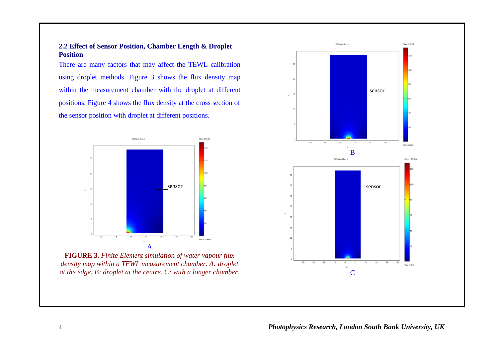#### **2.2 Effect of Sensor Position, Chamber Length & Droplet Position**

There are many factors that may affect the TEWL calibration using droplet methods. Figure 3 shows the flux density map within the measurement chamber with the droplet at different positions. Figure 4 shows the flux density at the cross section of the sensor position with droplet at different positions.



**FIGURE 3.** *Finite Element simulation of water vapour flux density map within a TEWL measurement chamber. A: droplet at the edge. B: droplet at the centre. C: with a longer chamber.*

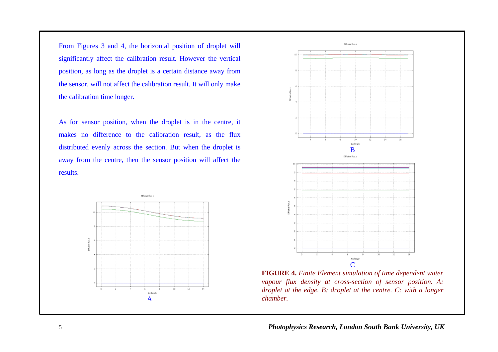From Figures 3 and 4, the horizontal position of droplet will significantly affect the calibration result. However the vertical position, as long as the droplet is a certain distance away from the sensor, will not affect the calibration result. It will only make the calibration time longer.

As for sensor position, when the droplet is in the centre, it makes no difference to the calibration result, as the flux distributed evenly across the section. But when the droplet is away from the centre, then the sensor position will affect the results.





**FIGURE 4.** *Finite Element simulation of time dependent water vapour flux density at cross-section of sensor position. A: droplet at the edge. B: droplet at the centre. C: with a longer chamber.*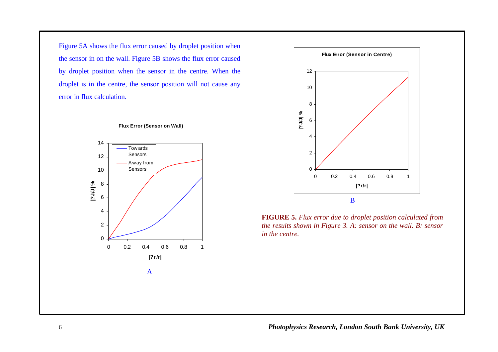Figure 5A shows the flux error caused by droplet position when the sensor in on the wall. Figure 5B shows the flux error caused by droplet position when the sensor in the centre. When the droplet is in the centre, the sensor position will not cause any error in flux calculation.



B **Flux Error (Sensor in Centre)** 0 2 4 6 8 10 12 0 0.2 0.4 0.6 0.8 1 **|?r/r| |?J/J| %**

**FIGURE 5.** *Flux error due to droplet position calculated from the results shown in Figure 3. A: sensor on the wall. B: sensor in the centre.*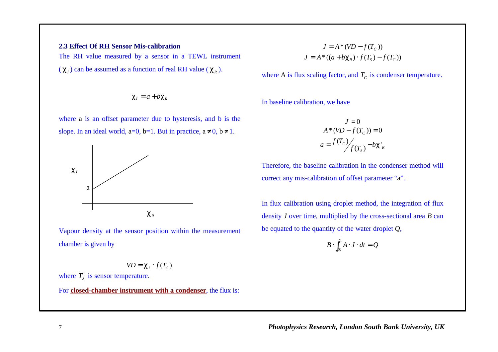## **2.3 Effect Of RH Sensor Mis-calibration**

The RH value measured by a sensor in a TEWL instrument

 $(c_i)$  can be assumed as a function of real RH value  $(c_k)$ .

$$
\mathbf{c}_l = a + b \mathbf{c}_k
$$

where a is an offset parameter due to hysteresis, and b is the slope. In an ideal world, a=0, b=1. But in practice,  $a \ne 0$ ,  $b \ne 1$ .



Vapour density at the sensor position within the measurement chamber is given by

$$
V\!D = \boldsymbol{c}_I \cdot f(T_s)
$$

where  $T<sub>S</sub>$  is sensor temperature.

For **closed-chamber instrument with a condenser**, the flux is:

$$
J = A * (VD - f(Tc))
$$
  

$$
J = A * ((a + b\mathbf{c}_{R}) \cdot f(T_{S}) - f(T_{C}))
$$

where A is flux scaling factor, and  $T_c$  is condenser temperature.

In baseline calibration, we have

$$
J = 0
$$
  
\n
$$
A * (VD - f(T_c)) = 0
$$
  
\n
$$
a = \frac{f(T_c)}{f(T_s)} - bC'_R
$$

Therefore, the baseline calibration in the condenser method will correct any mis-calibration of offset parameter "a".

In flux calibration using droplet method, the integration of flux density *J* over time, multiplied by the cross-sectional area *B* can be equated to the quantity of the water droplet *Q*,

$$
B \cdot \int_{t0}^{t1} A \cdot J \cdot dt = Q
$$

7 *Photophysics Research, London South Bank University, UK*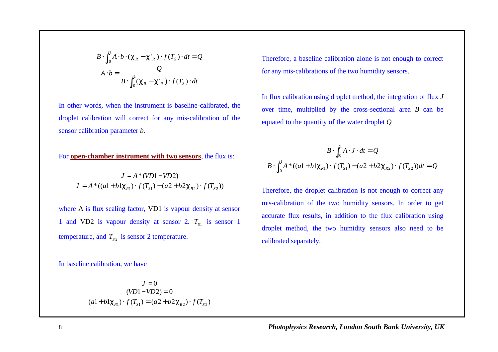$$
B \cdot \int_{t_0}^{t_1} A \cdot b \cdot (\mathbf{c}_R - \mathbf{c'}_R) \cdot f(T_s) \cdot dt = Q
$$
  

$$
A \cdot b = \frac{Q}{B \cdot \int_{t_0}^{t_1} (\mathbf{c}_R - \mathbf{c'}_R) \cdot f(T_s) \cdot dt}
$$

In other words, when the instrument is baseline-calibrated, the droplet calibration will correct for any mis-calibration of the sensor calibration parameter *b*.

#### For **open-chamber instrument with two sensors**, the flux is:

$$
J = A * (VD1 - VD2)
$$
  

$$
J = A * ((a1 + b1c_{R1}) \cdot f(T_{S1}) - (a2 + b2c_{R2}) \cdot f(T_{S2}))
$$

where A is flux scaling factor, VD1 is vapour density at sensor 1 and VD2 is vapour density at sensor 2.  $T_{S1}$  is sensor 1 temperature, and  $T_{s2}$  is sensor 2 temperature.

In baseline calibration, we have

$$
J = 0
$$
  
(VD1–VD2) = 0  
(a1+b1 $\mathbf{c}_{R1}$ )  $\cdot f(T_{S1}) = (a2+b2\mathbf{c}_{R2}) \cdot f(T_{S2})$ 

Therefore, a baseline calibration alone is not enough to correct for any mis-calibrations of the two humidity sensors.

In flux calibration using droplet method, the integration of flux *J* over time, multiplied by the cross-sectional area *B* can be equated to the quantity of the water droplet *Q*

$$
B \cdot \int_{t_0}^{t_1} A \cdot J \cdot dt = Q
$$
  

$$
B \cdot \int_{t_0}^{t_1} A * ((a1 + b1 \mathbf{c}_{R1}) \cdot f(T_{S1}) - (a2 + b2 \mathbf{c}_{R2}) \cdot f(T_{S2})) dt = Q
$$

Therefore, the droplet calibration is not enough to correct any mis-calibration of the two humidity sensors. In order to get accurate flux results, in addition to the flux calibration using droplet method, the two humidity sensors also need to be calibrated separately.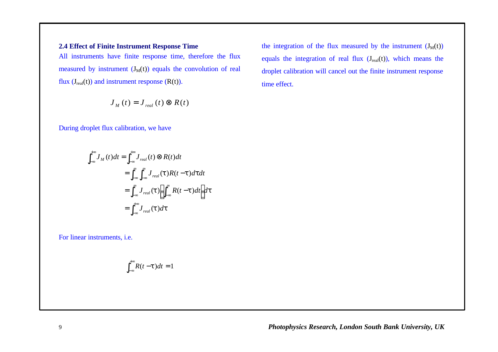## **2.4 Effect of Finite Instrument Response Time**

All instruments have finite response time, therefore the flux measured by instrument  $(J_M(t))$  equals the convolution of real flux  $(J_{real}(t))$  and instrument response  $(R(t))$ .

$$
J_{_M}\left(t\right)=J_{_{real}}\left(t\right)\otimes R(t)
$$

During droplet flux calibration, we have

$$
\int_{-\infty}^{+\infty} J_M(t)dt = \int_{-\infty}^{+\infty} J_{real}(t) \otimes R(t)dt
$$
  

$$
= \int_{-\infty}^{\infty} \int_{-\infty}^{\infty} J_{real}(t)R(t-t)dt dt
$$
  

$$
= \int_{-\infty}^{\infty} J_{real}(t) \left[ \int_{-\infty}^{\infty} R(t-t)dt \right] dt
$$
  

$$
= \int_{-\infty}^{+\infty} J_{real}(t)dt
$$

For linear instruments, i.e.

$$
\int_{-\infty}^{+\infty} R(t-t)dt = 1
$$

the integration of the flux measured by the instrument  $(J_M(t))$ equals the integration of real flux  $(J_{real}(t))$ , which means the droplet calibration will cancel out the finite instrument response time effect.